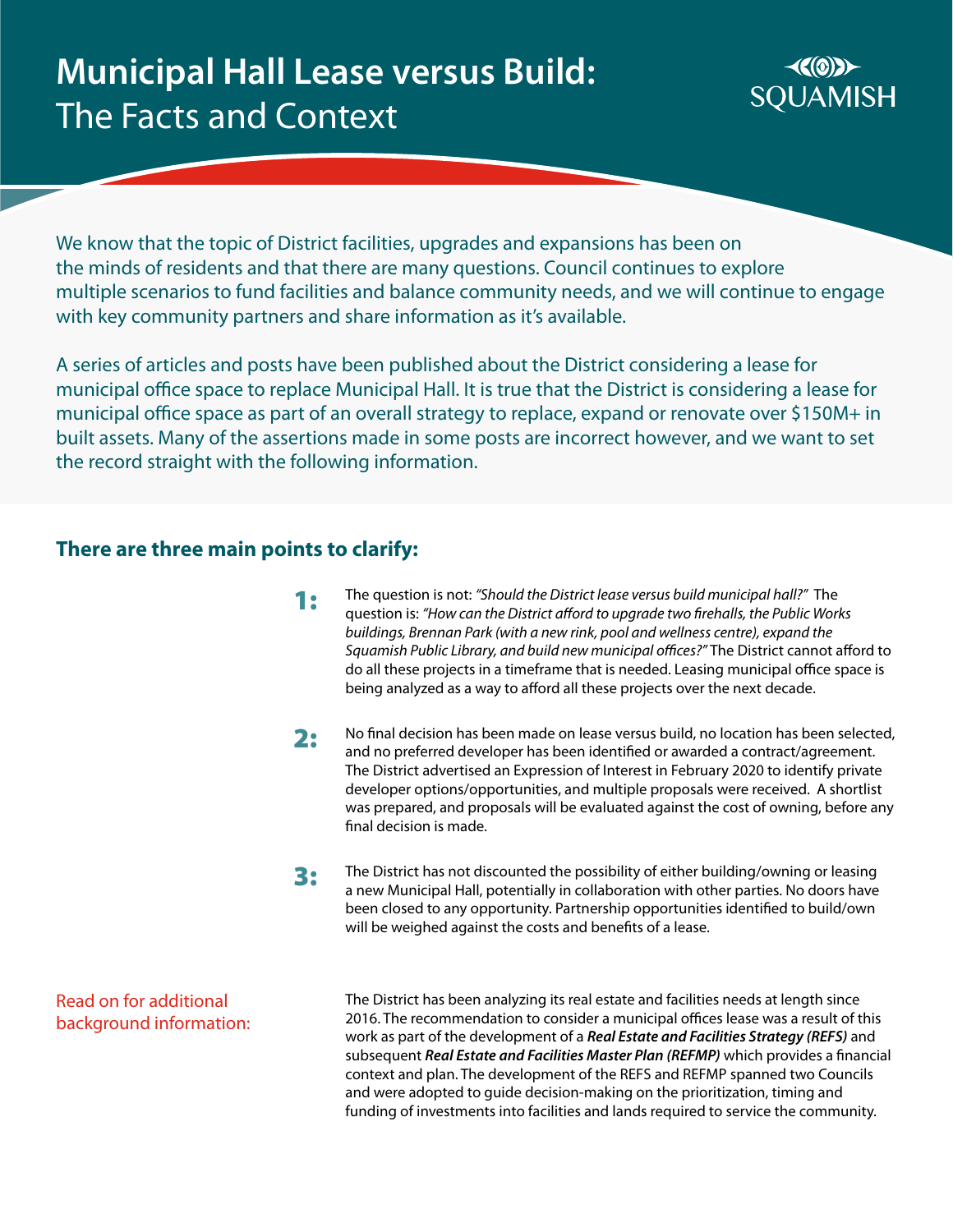

We know that the topic of District facilities, upgrades and expansions has been on the minds of residents and that there are many questions. Council continues to explore multiple scenarios to fund facilities and balance community needs, and we will continue to engage with key community partners and share information as it's available.

A series of articles and posts have been published about the District considering a lease for municipal office space to replace Municipal Hall. It is true that the District is considering a lease for municipal office space as part of an overall strategy to replace, expand or renovate over \$150M+ in built assets. Many of the assertions made in some posts are incorrect however, and we want to set the record straight with the following information.

#### **There are three main points to clarify:**

- The question is not: *"Should the District lease versus build municipal hall?"* The question is: *"How can the District afford to upgrade two firehalls, the Public Works buildings, Brennan Park (with a new rink, pool and wellness centre), expand the Squamish Public Library, and build new municipal offices?"* The District cannot afford to do all these projects in a timeframe that is needed. Leasing municipal office space is being analyzed as a way to afford all these projects over the next decade. 1:
- No final decision has been made on lease versus build, no location has been selected, and no preferred developer has been identified or awarded a contract/agreement. The District advertised an Expression of Interest in February 2020 to identify private developer options/opportunities, and multiple proposals were received. A shortlist was prepared, and proposals will be evaluated against the cost of owning, before any final decision is made. 2:
- The District has not discounted the possibility of either building/owning or leasing a new Municipal Hall, potentially in collaboration with other parties. No doors have been closed to any opportunity. Partnership opportunities identified to build/own will be weighed against the costs and benefits of a lease. 3:

Read on for additional background information: The District has been analyzing its real estate and facilities needs at length since 2016. The recommendation to consider a municipal offices lease was a result of this work as part of the development of a *Real Estate and Facilities Strategy (REFS)* and subsequent *Real Estate and Facilities Master Plan (REFMP)* which provides a financial context and plan. The development of the REFS and REFMP spanned two Councils and were adopted to guide decision-making on the prioritization, timing and funding of investments into facilities and lands required to service the community.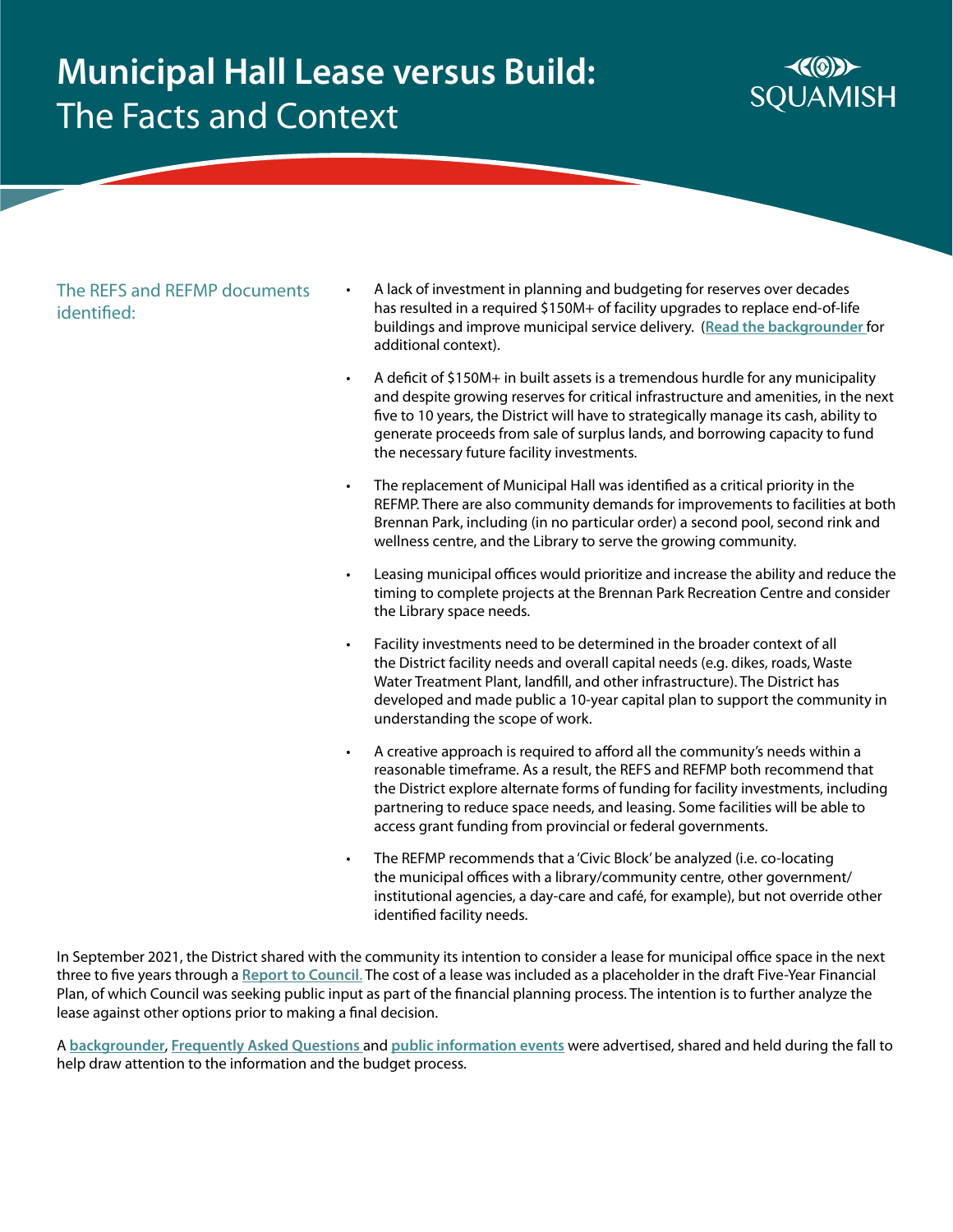

The REFS and REFMP documents identified:

- A lack of investment in planning and budgeting for reserves over decades has resulted in a required \$150M+ of facility upgrades to replace end-of-life buildings and improve municipal service delivery. (**[Read the backgrounder](https://squamish.ca/assets/Real-Estate-Facilities-Master-Plan/How-we-got-here_backgrounder_final.pdf)** for additional context).
- A deficit of \$150M+ in built assets is a tremendous hurdle for any municipality and despite growing reserves for critical infrastructure and amenities, in the next five to 10 years, the District will have to strategically manage its cash, ability to generate proceeds from sale of surplus lands, and borrowing capacity to fund the necessary future facility investments.
- The replacement of Municipal Hall was identified as a critical priority in the REFMP. There are also community demands for improvements to facilities at both Brennan Park, including (in no particular order) a second pool, second rink and wellness centre, and the Library to serve the growing community.
- Leasing municipal offices would prioritize and increase the ability and reduce the timing to complete projects at the Brennan Park Recreation Centre and consider the Library space needs.
- Facility investments need to be determined in the broader context of all the District facility needs and overall capital needs (e.g. dikes, roads, Waste Water Treatment Plant, landfill, and other infrastructure). The District has developed and made public a 10-year capital plan to support the community in understanding the scope of work.
- A creative approach is required to afford all the community's needs within a reasonable timeframe. As a result, the REFS and REFMP both recommend that the District explore alternate forms of funding for facility investments, including partnering to reduce space needs, and leasing. Some facilities will be able to access grant funding from provincial or federal governments.
- The REFMP recommends that a 'Civic Block' be analyzed (i.e. co-locating the municipal offices with a library/community centre, other government/ institutional agencies, a day-care and café, for example), but not override other identified facility needs.

In September 2021, the District shared with the community its intention to consider a lease for municipal office space in the next three to five years through a **[Report to Council](https://squamish.civicweb.net/FileStorage/6D0ADCC3B8BA4BDBA619AEC89DE9E322-RTC Sept 28 REFMP Recommendations for 2022-2026 Fi.pdf)**. The cost of a lease was included as a placeholder in the draft Five-Year Financial Plan, of which Council was seeking public input as part of the financial planning process. The intention is to further analyze the lease against other options prior to making a final decision.

A **[backgrounder](https://squamish.ca/assets/Real-Estate-Facilities-Master-Plan/How-we-got-here_backgrounder_final.pdf)**, **[Frequently Asked Questions](https://squamish.ca/yourgovernment/budget-financial-statements-and-annual-reports/budget-2022/frequently-asked-questions-budget-2022/)** and **[public information events](https://letstalksquamish.ca/budget-2022/widgets/104678/key_dates)** were advertised, shared and held during the fall to help draw attention to the information and the budget process.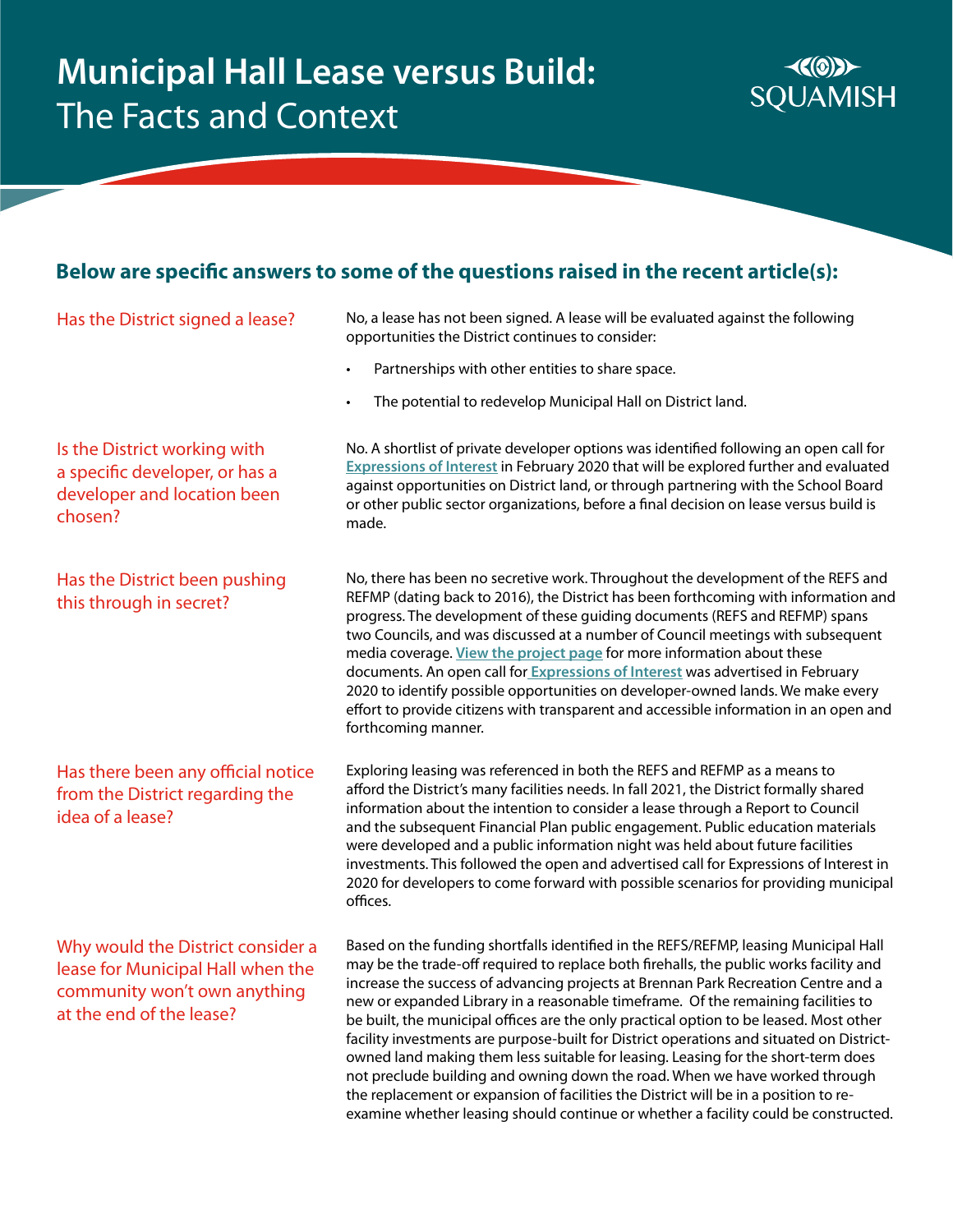

#### **Below are specific answers to some of the questions raised in the recent article(s):**

#### Has the District signed a lease?

No, a lease has not been signed. A lease will be evaluated against the following opportunities the District continues to consider:

- Partnerships with other entities to share space.
- The potential to redevelop Municipal Hall on District land.

Is the District working with a specific developer, or has a developer and location been chosen?

Has the District been pushing this through in secret?

Has there been any official notice from the District regarding the idea of a lease?

Why would the District consider a lease for Municipal Hall when the community won't own anything at the end of the lease?

No. A shortlist of private developer options was identified following an open call for **[Expressions of Interest](https://squamish.ca/yourgovernment/news/district-explores-options-to-replace-municipal-hall/)** in February 2020 that will be explored further and evaluated against opportunities on District land, or through partnering with the School Board or other public sector organizations, before a final decision on lease versus build is made.

No, there has been no secretive work. Throughout the development of the REFS and REFMP (dating back to 2016), the District has been forthcoming with information and progress. The development of these guiding documents (REFS and REFMP) spans two Councils, and was discussed at a number of Council meetings with subsequent media coverage. **[View the project page](https://squamish.ca/yourgovernment/projects-and-initiatives/real-estate-and-facilities-master-plan/)** for more information about these documents. An open call for **[Expressions of Interest](https://squamish.ca/yourgovernment/news/district-explores-options-to-replace-municipal-hall/)** was advertised in February 2020 to identify possible opportunities on developer-owned lands. We make every effort to provide citizens with transparent and accessible information in an open and forthcoming manner.

Exploring leasing was referenced in both the REFS and REFMP as a means to afford the District's many facilities needs. In fall 2021, the District formally shared information about the intention to consider a lease through a Report to Council and the subsequent Financial Plan public engagement. Public education materials were developed and a public information night was held about future facilities investments. This followed the open and advertised call for Expressions of Interest in 2020 for developers to come forward with possible scenarios for providing municipal offices.

Based on the funding shortfalls identified in the REFS/REFMP, leasing Municipal Hall may be the trade-off required to replace both firehalls, the public works facility and increase the success of advancing projects at Brennan Park Recreation Centre and a new or expanded Library in a reasonable timeframe. Of the remaining facilities to be built, the municipal offices are the only practical option to be leased. Most other facility investments are purpose-built for District operations and situated on Districtowned land making them less suitable for leasing. Leasing for the short-term does not preclude building and owning down the road. When we have worked through the replacement or expansion of facilities the District will be in a position to reexamine whether leasing should continue or whether a facility could be constructed.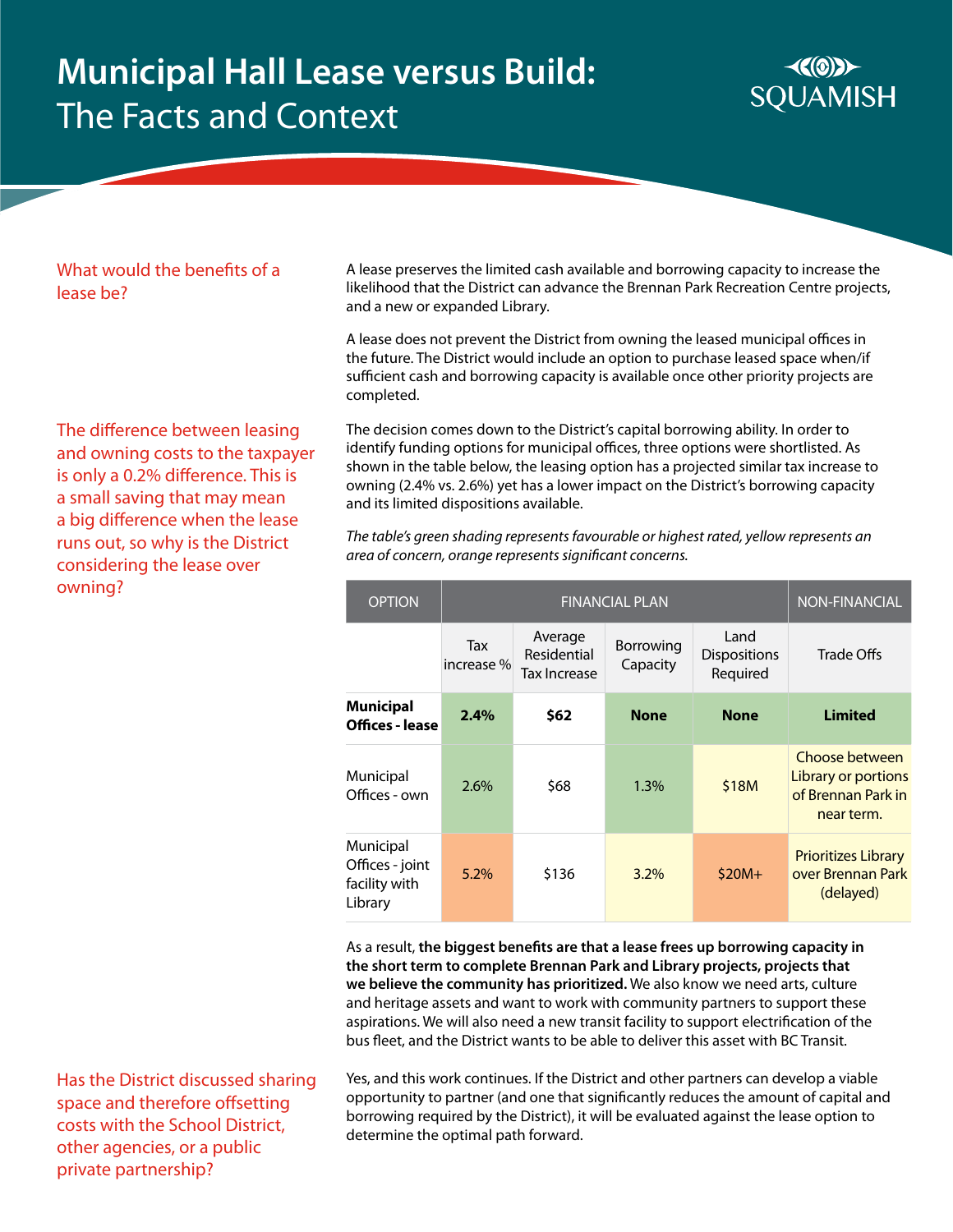

#### What would the benefits of a lease be?

The difference between leasing and owning costs to the taxpayer is only a 0.2% difference. This is a small saving that may mean a big difference when the lease runs out, so why is the District considering the lease over owning?

A lease preserves the limited cash available and borrowing capacity to increase the likelihood that the District can advance the Brennan Park Recreation Centre projects, and a new or expanded Library.

A lease does not prevent the District from owning the leased municipal offices in the future. The District would include an option to purchase leased space when/if sufficient cash and borrowing capacity is available once other priority projects are completed.

The decision comes down to the District's capital borrowing ability. In order to identify funding options for municipal offices, three options were shortlisted. As shown in the table below, the leasing option has a projected similar tax increase to owning (2.4% vs. 2.6%) yet has a lower impact on the District's borrowing capacity and its limited dispositions available.

*The table's green shading represents favourable or highest rated, yellow represents an area of concern, orange represents significant concerns.*

| <b>OPTION</b>                                            | <b>FINANCIAL PLAN</b> |                                        |                       |                                         | <b>NON-FINANCIAL</b>                                                      |
|----------------------------------------------------------|-----------------------|----------------------------------------|-----------------------|-----------------------------------------|---------------------------------------------------------------------------|
|                                                          | Tax<br>increase%      | Average<br>Residential<br>Tax Increase | Borrowing<br>Capacity | Land<br><b>Dispositions</b><br>Required | Trade Offs                                                                |
| <b>Municipal</b><br>Offices - lease                      | 2.4%                  | \$62                                   | <b>None</b>           | <b>None</b>                             | <b>Limited</b>                                                            |
| Municipal<br>Offices - own                               | 2.6%                  | \$68                                   | 1.3%                  | \$18M                                   | Choose between<br>Library or portions<br>of Brennan Park in<br>near term. |
| Municipal<br>Offices - joint<br>facility with<br>Library | 5.2%                  | \$136                                  | 3.2%                  | $$20M+$                                 | <b>Prioritizes Library</b><br>over Brennan Park<br>(delayed)              |

As a result, **the biggest benefits are that a lease frees up borrowing capacity in the short term to complete Brennan Park and Library projects, projects that we believe the community has prioritized.** We also know we need arts, culture and heritage assets and want to work with community partners to support these aspirations. We will also need a new transit facility to support electrification of the bus fleet, and the District wants to be able to deliver this asset with BC Transit.

Has the District discussed sharing space and therefore offsetting costs with the School District, other agencies, or a public private partnership?

Yes, and this work continues. If the District and other partners can develop a viable opportunity to partner (and one that significantly reduces the amount of capital and borrowing required by the District), it will be evaluated against the lease option to determine the optimal path forward.